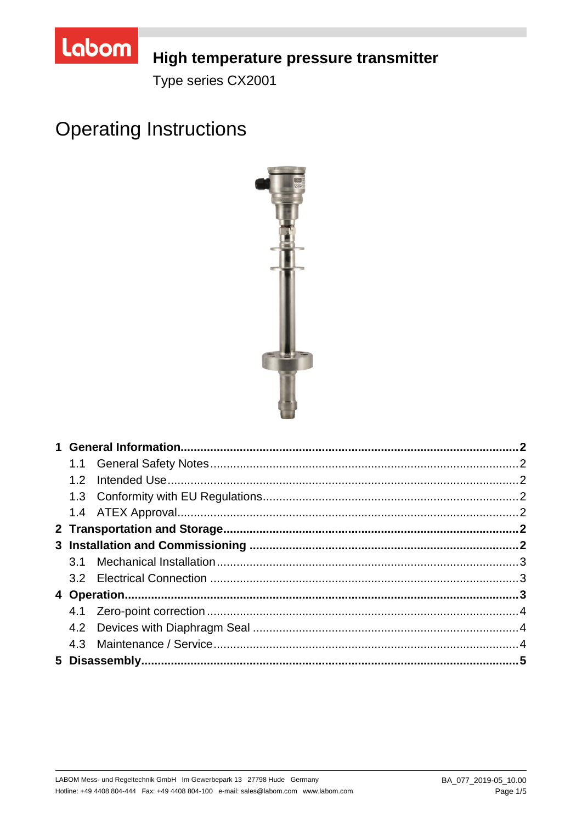

## High temperature pressure transmitter

Type series CX2001

# **Operating Instructions**

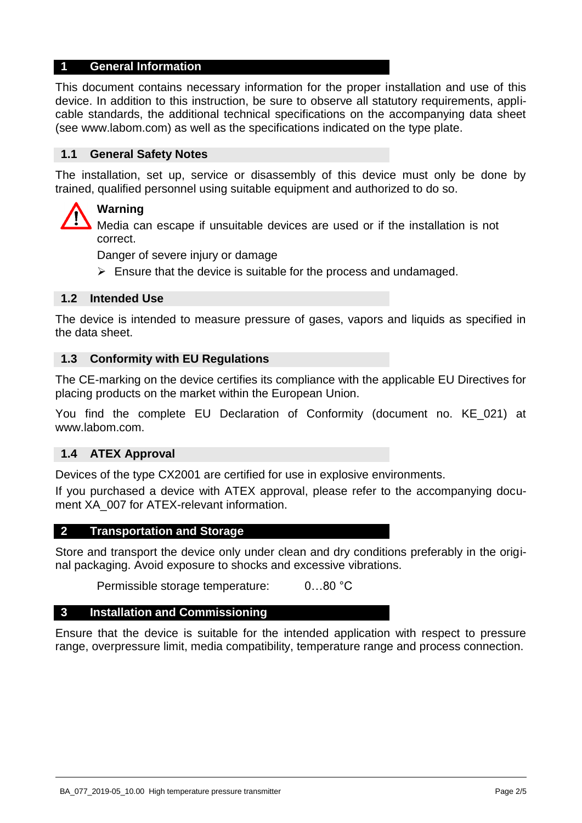## **1 General Information**

This document contains necessary information for the proper installation and use of this device. In addition to this instruction, be sure to observe all statutory requirements, applicable standards, the additional technical specifications on the accompanying data sheet (see www.labom.com) as well as the specifications indicated on the type plate.

#### **1.1 General Safety Notes**

The installation, set up, service or disassembly of this device must only be done by trained, qualified personnel using suitable equipment and authorized to do so.

## **Warning**

Media can escape if unsuitable devices are used or if the installation is not correct.

Danger of severe injury or damage

 $\triangleright$  Ensure that the device is suitable for the process and undamaged.

#### **1.2 Intended Use**

The device is intended to measure pressure of gases, vapors and liquids as specified in the data sheet.

#### **1.3 Conformity with EU Regulations**

The CE-marking on the device certifies its compliance with the applicable EU Directives for placing products on the market within the European Union.

You find the complete EU Declaration of Conformity (document no. KE\_021) at www.labom.com.

#### **1.4 ATEX Approval**

Devices of the type CX2001 are certified for use in explosive environments.

If you purchased a device with ATEX approval, please refer to the accompanying document XA\_007 for ATEX-relevant information.

#### **2 Transportation and Storage**

Store and transport the device only under clean and dry conditions preferably in the original packaging. Avoid exposure to shocks and excessive vibrations.

Permissible storage temperature: 0…80 °C

#### **3 Installation and Commissioning**

Ensure that the device is suitable for the intended application with respect to pressure range, overpressure limit, media compatibility, temperature range and process connection.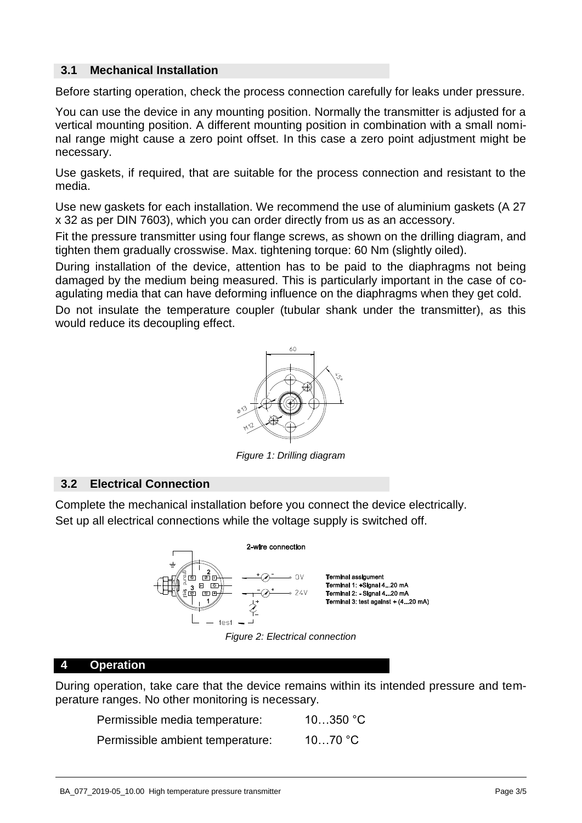## **3.1 Mechanical Installation**

Before starting operation, check the process connection carefully for leaks under pressure.

You can use the device in any mounting position. Normally the transmitter is adjusted for a vertical mounting position. A different mounting position in combination with a small nominal range might cause a zero point offset. In this case a zero point adjustment might be necessary.

Use gaskets, if required, that are suitable for the process connection and resistant to the media.

Use new gaskets for each installation. We recommend the use of aluminium gaskets (A 27 x 32 as per DIN 7603), which you can order directly from us as an accessory.

Fit the pressure transmitter using four flange screws, as shown on the drilling diagram, and tighten them gradually crosswise. Max. tightening torque: 60 Nm (slightly oiled).

During installation of the device, attention has to be paid to the diaphragms not being damaged by the medium being measured. This is particularly important in the case of coagulating media that can have deforming influence on the diaphragms when they get cold.

Do not insulate the temperature coupler (tubular shank under the transmitter), as this would reduce its decoupling effect.



*Figure 1: Drilling diagram* 

## **3.2 Electrical Connection**

Complete the mechanical installation before you connect the device electrically. Set up all electrical connections while the voltage supply is switched off.



*Figure 2: Electrical connection* 

## **4 Operation**

During operation, take care that the device remains within its intended pressure and temperature ranges. No other monitoring is necessary.

| Permissible media temperature:   | 10350 °C |
|----------------------------------|----------|
| Permissible ambient temperature: | 1070 °C  |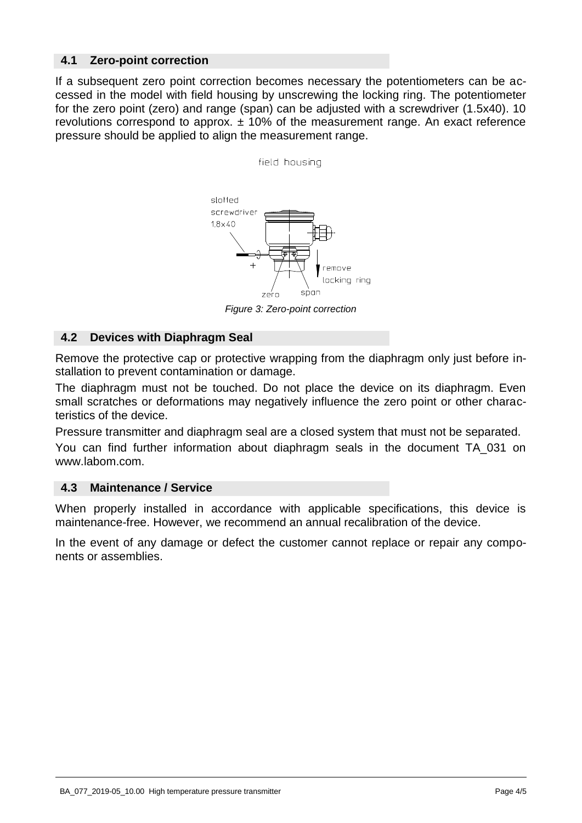## **4.1 Zero-point correction**

If a subsequent zero point correction becomes necessary the potentiometers can be accessed in the model with field housing by unscrewing the locking ring. The potentiometer for the zero point (zero) and range (span) can be adjusted with a screwdriver (1.5x40). 10 revolutions correspond to approx.  $\pm$  10% of the measurement range. An exact reference pressure should be applied to align the measurement range.

field housing



*Figure 3: Zero-point correction* 

## **4.2 Devices with Diaphragm Seal**

Remove the protective cap or protective wrapping from the diaphragm only just before installation to prevent contamination or damage.

The diaphragm must not be touched. Do not place the device on its diaphragm. Even small scratches or deformations may negatively influence the zero point or other characteristics of the device.

Pressure transmitter and diaphragm seal are a closed system that must not be separated.

You can find further information about diaphragm seals in the document TA\_031 on www.labom.com.

#### **4.3 Maintenance / Service**

When properly installed in accordance with applicable specifications, this device is maintenance-free. However, we recommend an annual recalibration of the device.

In the event of any damage or defect the customer cannot replace or repair any components or assemblies.